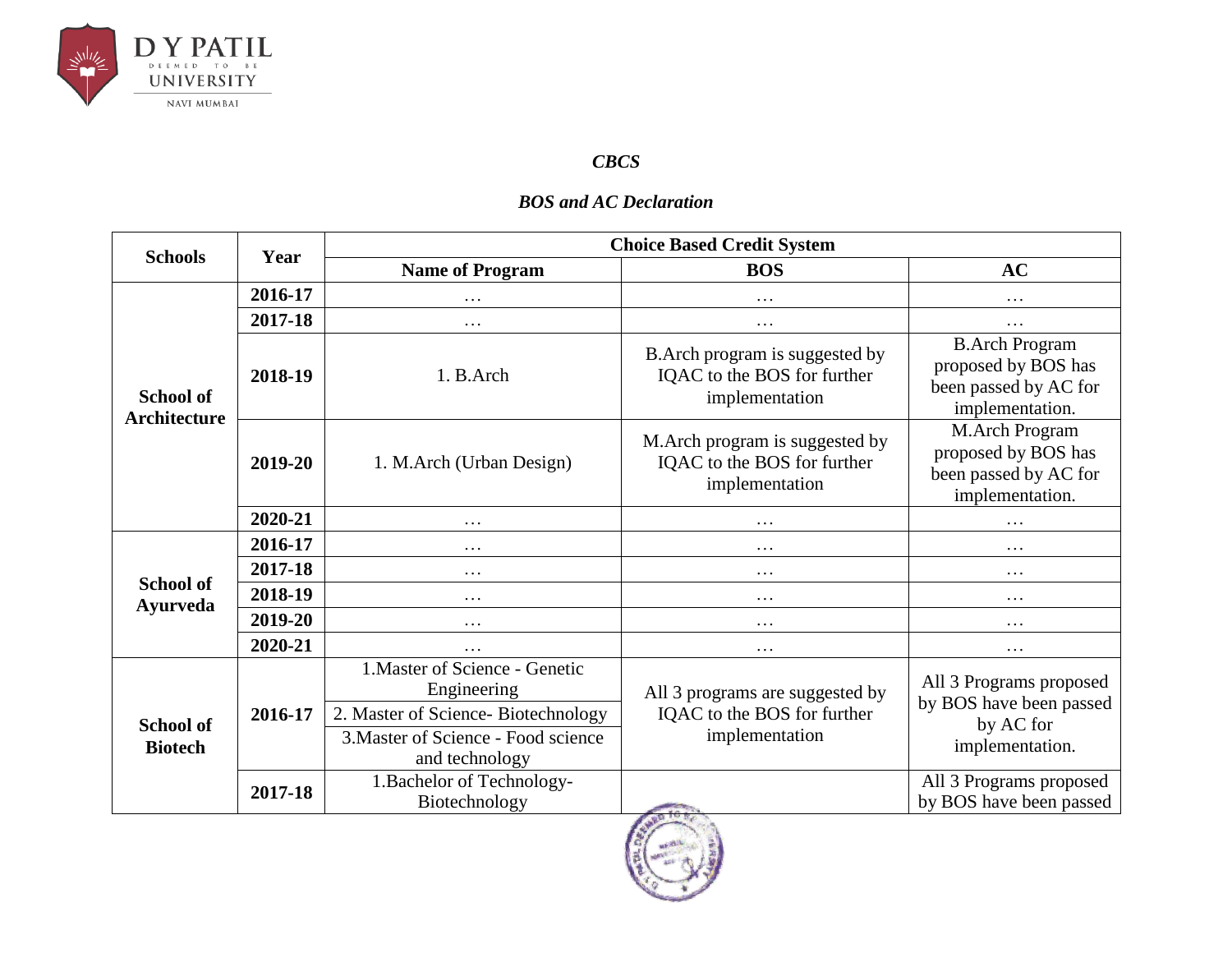

## *CBCS*

## *BOS and AC Declaration*

| <b>Schools</b>                          | Year    | <b>Choice Based Credit System</b>                     |                                                                                  |                                                                                          |  |
|-----------------------------------------|---------|-------------------------------------------------------|----------------------------------------------------------------------------------|------------------------------------------------------------------------------------------|--|
|                                         |         | <b>Name of Program</b>                                | <b>BOS</b>                                                                       | <b>AC</b>                                                                                |  |
| <b>School of</b><br><b>Architecture</b> | 2016-17 | .                                                     | .                                                                                | $\cdots$                                                                                 |  |
|                                         | 2017-18 | $\cdots$                                              | .                                                                                | .                                                                                        |  |
|                                         | 2018-19 | 1. B.Arch                                             | B. Arch program is suggested by<br>IQAC to the BOS for further<br>implementation | <b>B.Arch Program</b><br>proposed by BOS has<br>been passed by AC for<br>implementation. |  |
|                                         | 2019-20 | 1. M.Arch (Urban Design)                              | M. Arch program is suggested by<br>IQAC to the BOS for further<br>implementation | M.Arch Program<br>proposed by BOS has<br>been passed by AC for<br>implementation.        |  |
|                                         | 2020-21 | $\cdots$                                              | .                                                                                | $\cdots$                                                                                 |  |
|                                         | 2016-17 | .                                                     | .                                                                                | .                                                                                        |  |
|                                         | 2017-18 | $\cdots$                                              | .                                                                                | $\cdots$                                                                                 |  |
| <b>School of</b><br><b>Ayurveda</b>     | 2018-19 | .                                                     | $\cdots$                                                                         | $\cdots$                                                                                 |  |
|                                         | 2019-20 | $\cdots$                                              | .                                                                                | $\cdots$                                                                                 |  |
|                                         | 2020-21 | .                                                     | .                                                                                | $\cdots$                                                                                 |  |
| <b>School of</b><br><b>Biotech</b>      | 2016-17 | 1. Master of Science - Genetic<br>Engineering         | All 3 programs are suggested by<br>IQAC to the BOS for further<br>implementation | All 3 Programs proposed<br>by BOS have been passed<br>by AC for<br>implementation.       |  |
|                                         |         | 2. Master of Science-Biotechnology                    |                                                                                  |                                                                                          |  |
|                                         |         | 3. Master of Science - Food science<br>and technology |                                                                                  |                                                                                          |  |
|                                         | 2017-18 | 1. Bachelor of Technology-<br>Biotechnology           |                                                                                  | All 3 Programs proposed<br>by BOS have been passed                                       |  |

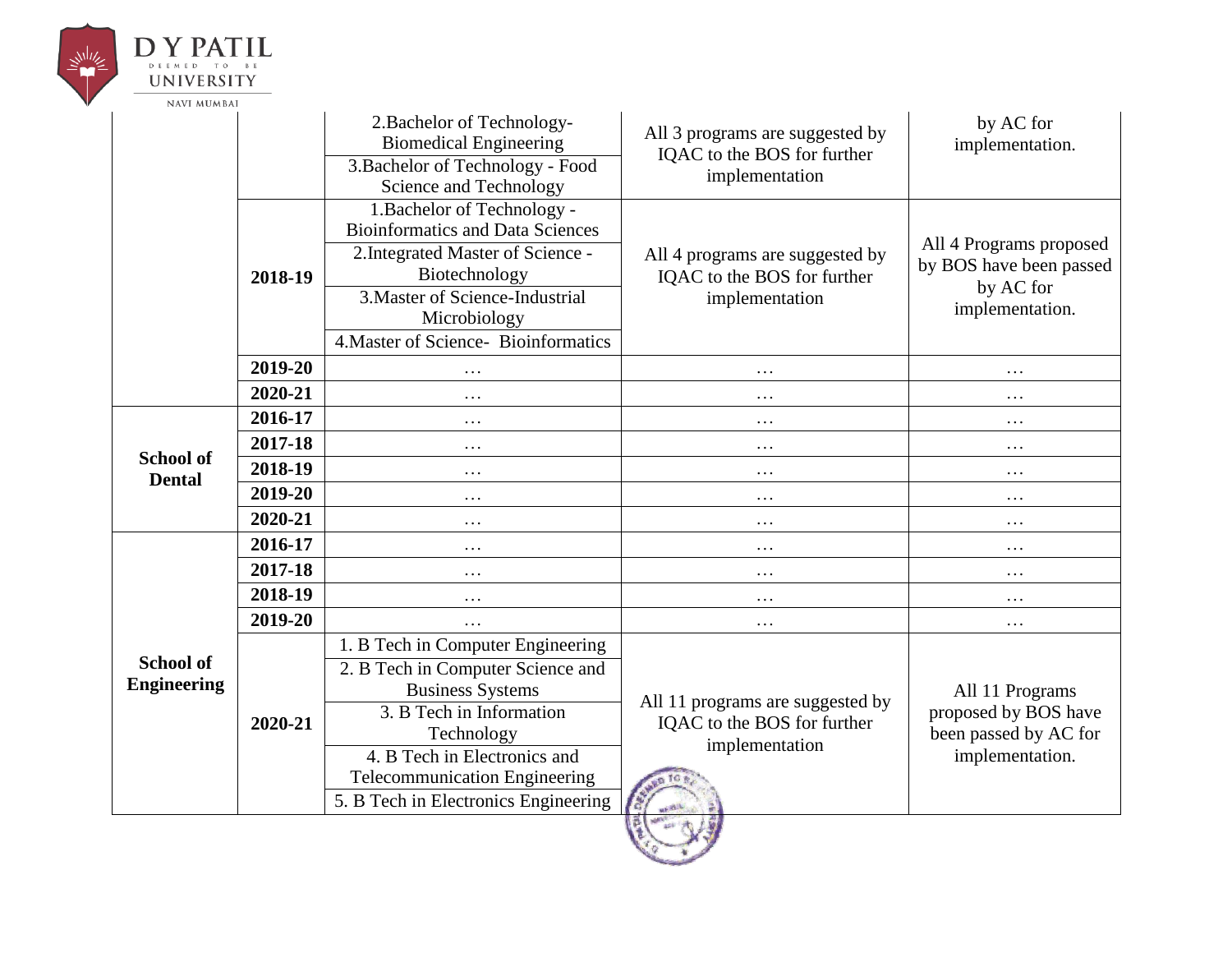

## **DY PATIL** DEEMED TO BE **UNIVERSITY**

| <b>NAVI MUMBAI</b>                     |         |                                                                        |                                                                                   |                                                                                     |
|----------------------------------------|---------|------------------------------------------------------------------------|-----------------------------------------------------------------------------------|-------------------------------------------------------------------------------------|
|                                        |         | 2. Bachelor of Technology-<br><b>Biomedical Engineering</b>            | All 3 programs are suggested by<br>IQAC to the BOS for further                    | by AC for<br>implementation.                                                        |
|                                        |         | 3. Bachelor of Technology - Food<br>Science and Technology             | implementation                                                                    |                                                                                     |
|                                        |         | 1. Bachelor of Technology -<br><b>Bioinformatics and Data Sciences</b> |                                                                                   |                                                                                     |
|                                        | 2018-19 | 2. Integrated Master of Science -<br>Biotechnology                     | All 4 programs are suggested by<br>IQAC to the BOS for further<br>implementation  | All 4 Programs proposed<br>by BOS have been passed<br>by AC for<br>implementation.  |
|                                        |         | 3. Master of Science-Industrial<br>Microbiology                        |                                                                                   |                                                                                     |
|                                        |         | 4. Master of Science-Bioinformatics                                    |                                                                                   |                                                                                     |
|                                        | 2019-20 | .                                                                      | $\ddotsc$                                                                         | .                                                                                   |
|                                        | 2020-21 | .                                                                      | $\cdots$                                                                          | .                                                                                   |
|                                        | 2016-17 | $\ddotsc$                                                              | .                                                                                 | .                                                                                   |
|                                        | 2017-18 | $\cdots$                                                               | $\cdots$                                                                          | .                                                                                   |
| <b>School of</b><br><b>Dental</b>      | 2018-19 | $\ddotsc$                                                              | .                                                                                 | .                                                                                   |
|                                        | 2019-20 | $\ddots$                                                               | $\cdots$                                                                          | $\cdots$                                                                            |
|                                        | 2020-21 | $\ddots$                                                               | $\cdots$                                                                          | .                                                                                   |
|                                        | 2016-17 | $\ddots$                                                               | $\ddots$                                                                          | .                                                                                   |
|                                        | 2017-18 | $\ddots$                                                               | $\cdots$                                                                          | $\cdots$                                                                            |
|                                        | 2018-19 | .                                                                      | .                                                                                 | .                                                                                   |
|                                        | 2019-20 | $\ddots$                                                               | $\cdots$                                                                          | $\cdots$                                                                            |
|                                        | 2020-21 | 1. B Tech in Computer Engineering                                      | All 11 programs are suggested by<br>IQAC to the BOS for further<br>implementation | All 11 Programs<br>proposed by BOS have<br>been passed by AC for<br>implementation. |
| <b>School of</b><br><b>Engineering</b> |         | 2. B Tech in Computer Science and<br><b>Business Systems</b>           |                                                                                   |                                                                                     |
|                                        |         | 3. B Tech in Information<br>Technology                                 |                                                                                   |                                                                                     |
|                                        |         | 4. B Tech in Electronics and<br><b>Telecommunication Engineering</b>   |                                                                                   |                                                                                     |
|                                        |         | 5. B Tech in Electronics Engineering                                   |                                                                                   |                                                                                     |
|                                        |         |                                                                        |                                                                                   |                                                                                     |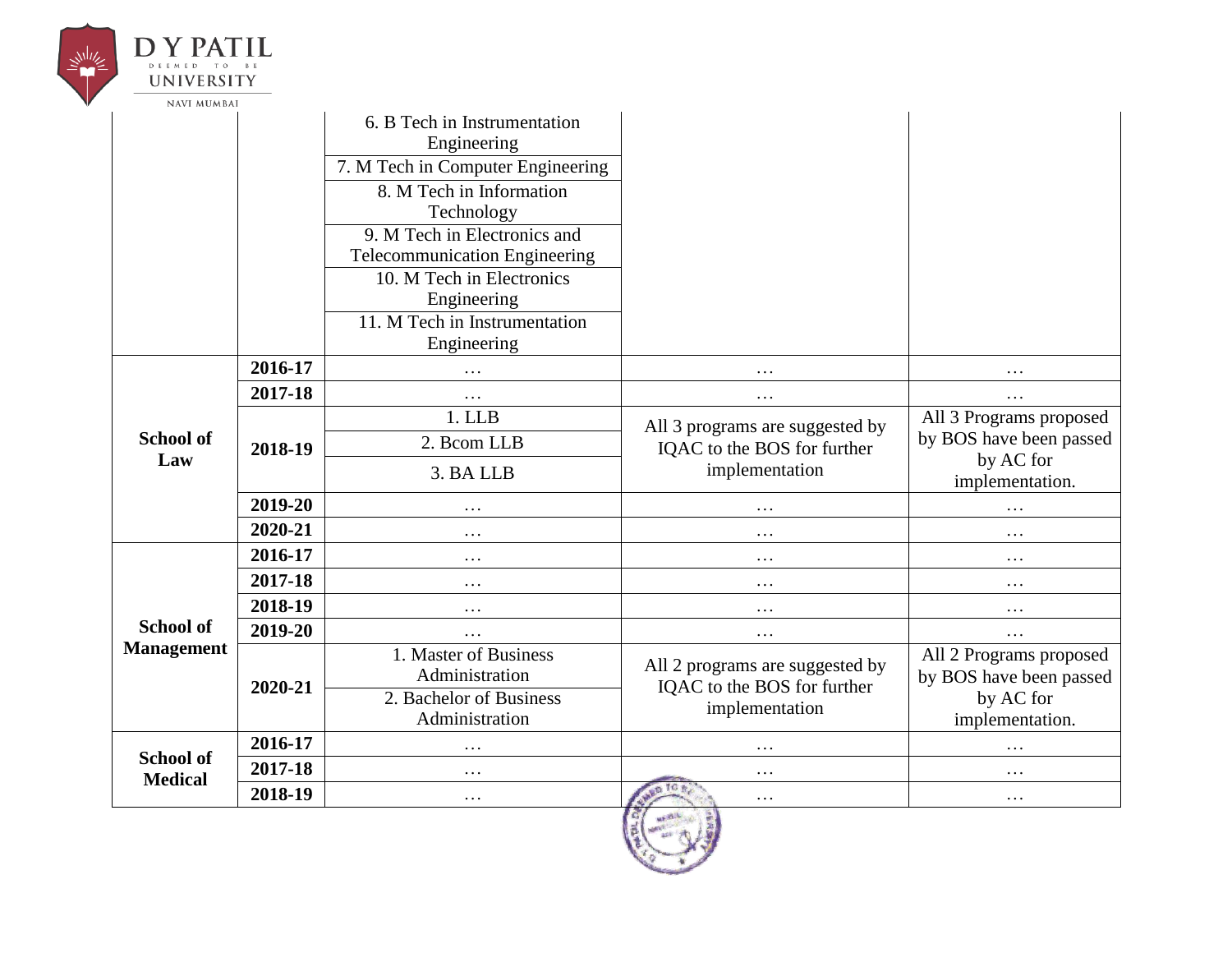|  | UNIVERSITY                         |         |                                                                                      |                                                                                  |                                                                                    |
|--|------------------------------------|---------|--------------------------------------------------------------------------------------|----------------------------------------------------------------------------------|------------------------------------------------------------------------------------|
|  | <b>NAVI MUMBAI</b>                 |         | 6. B Tech in Instrumentation<br>Engineering<br>7. M Tech in Computer Engineering     |                                                                                  |                                                                                    |
|  |                                    |         | 8. M Tech in Information<br>Technology<br>9. M Tech in Electronics and               |                                                                                  |                                                                                    |
|  |                                    |         | <b>Telecommunication Engineering</b><br>10. M Tech in Electronics                    |                                                                                  |                                                                                    |
|  |                                    |         | Engineering<br>11. M Tech in Instrumentation<br>Engineering                          |                                                                                  |                                                                                    |
|  |                                    | 2016-17 | .                                                                                    | .                                                                                | .                                                                                  |
|  |                                    | 2017-18 | $\cdots$                                                                             | $\cdots$                                                                         | $\cdots$                                                                           |
|  | <b>School of</b><br>Law            | 2018-19 | 1. LLB<br>2. Bcom LLB<br>3. BA LLB                                                   | All 3 programs are suggested by<br>IQAC to the BOS for further<br>implementation | All 3 Programs proposed<br>by BOS have been passed<br>by AC for<br>implementation. |
|  |                                    | 2019-20 | .                                                                                    | $\ddotsc$                                                                        | $\ddotsc$                                                                          |
|  |                                    | 2020-21 | $\cdots$                                                                             | $\cdots$                                                                         | $\cdots$                                                                           |
|  |                                    | 2016-17 | $\cdots$                                                                             | $\cdots$                                                                         | $\cdots$                                                                           |
|  |                                    | 2017-18 | $\cdots$                                                                             | $\cdots$                                                                         | $\cdots$                                                                           |
|  |                                    | 2018-19 | $\cdots$                                                                             | $\cdots$                                                                         | $\cdots$                                                                           |
|  | School of                          | 2019-20 | $\cdots$                                                                             | $\cdots$                                                                         | $\cdots$                                                                           |
|  | <b>Management</b>                  | 2020-21 | 1. Master of Business<br>Administration<br>2. Bachelor of Business<br>Administration | All 2 programs are suggested by<br>IQAC to the BOS for further<br>implementation | All 2 Programs proposed<br>by BOS have been passed<br>by AC for<br>implementation. |
|  |                                    | 2016-17 | $\cdots$                                                                             |                                                                                  | .                                                                                  |
|  | <b>School of</b><br><b>Medical</b> | 2017-18 | $\cdots$                                                                             | .                                                                                | .                                                                                  |
|  |                                    | 2018-19 | $\cdots$                                                                             | .                                                                                | $\cdots$                                                                           |
|  |                                    |         |                                                                                      | G<br><b>MERCIL</b>                                                               |                                                                                    |

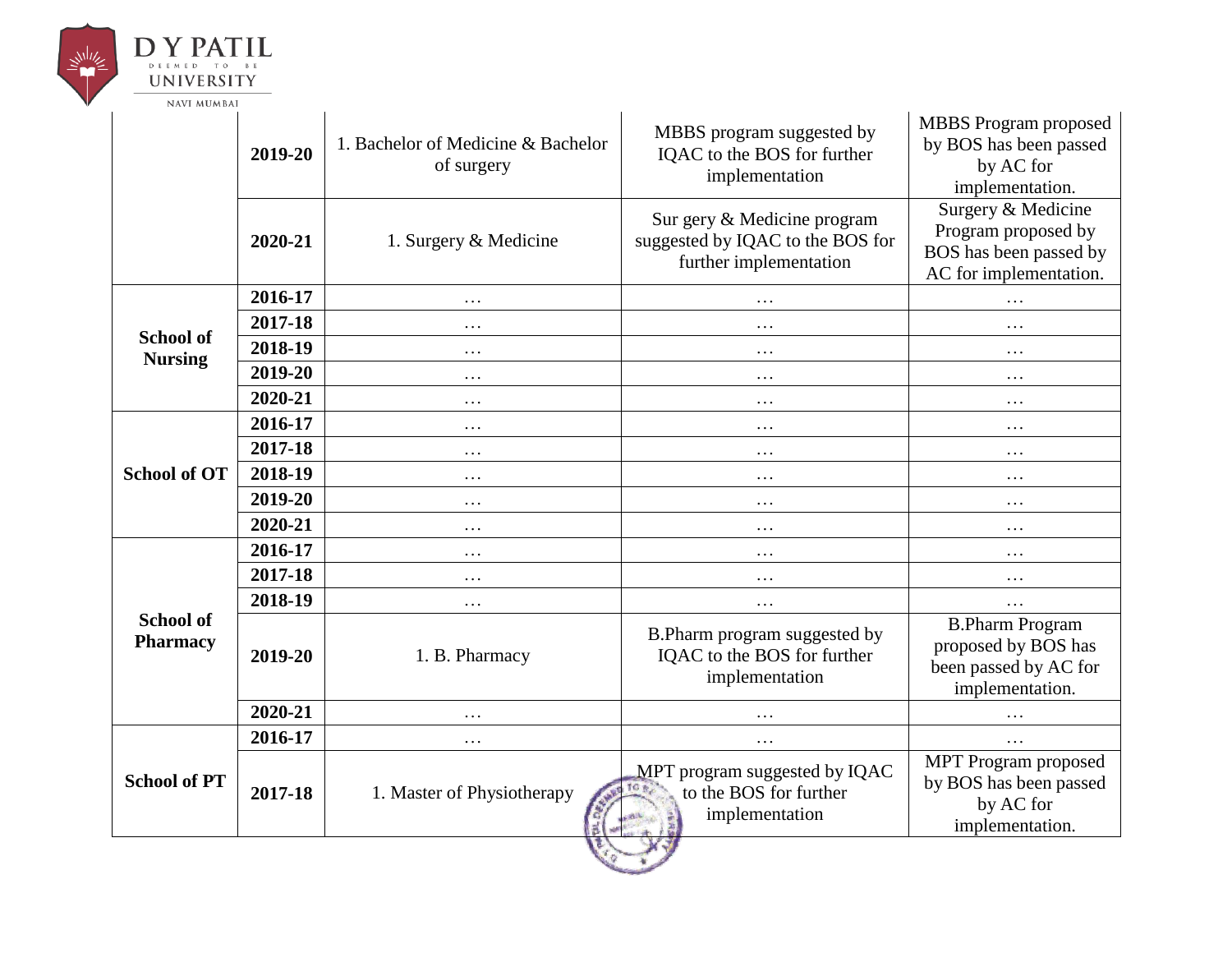

## **DY PATIL** DEEMED TO BE **UNIVERSITY**

NAVI MUMBAI

|                                     | 2019-20 | 1. Bachelor of Medicine & Bachelor<br>of surgery | MBBS program suggested by<br>IQAC to the BOS for further<br>implementation                | <b>MBBS</b> Program proposed<br>by BOS has been passed<br>by AC for<br>implementation.        |
|-------------------------------------|---------|--------------------------------------------------|-------------------------------------------------------------------------------------------|-----------------------------------------------------------------------------------------------|
|                                     | 2020-21 | 1. Surgery & Medicine                            | Sur gery & Medicine program<br>suggested by IQAC to the BOS for<br>further implementation | Surgery & Medicine<br>Program proposed by<br>BOS has been passed by<br>AC for implementation. |
|                                     | 2016-17 | $\ddots$                                         | .                                                                                         | .                                                                                             |
|                                     | 2017-18 | $\cdots$                                         | .                                                                                         | $\cdots$                                                                                      |
| <b>School of</b><br><b>Nursing</b>  | 2018-19 | $\cdots$                                         | .                                                                                         | .                                                                                             |
|                                     | 2019-20 | $\cdots$                                         | $\cdots$                                                                                  | $\cdots$                                                                                      |
|                                     | 2020-21 | $\ddots$                                         | $\ddotsc$                                                                                 | .                                                                                             |
|                                     | 2016-17 | $\cdots$                                         | $\cdots$                                                                                  | $\cdots$                                                                                      |
|                                     | 2017-18 | .                                                | $\ddotsc$                                                                                 | .                                                                                             |
| <b>School of OT</b>                 | 2018-19 | $\cdots$                                         | .                                                                                         | $\cdots$                                                                                      |
|                                     | 2019-20 | .                                                | $\cdots$                                                                                  | $\cdots$                                                                                      |
|                                     | 2020-21 | $\cdots$                                         | $\cdots$                                                                                  | $\cdots$                                                                                      |
|                                     | 2016-17 | $\cdots$                                         | .                                                                                         | .                                                                                             |
|                                     | 2017-18 | $\ddots$                                         | $\cdots$                                                                                  | $\cdots$                                                                                      |
|                                     | 2018-19 | $\cdots$                                         | .                                                                                         | $\cdots$                                                                                      |
| <b>School of</b><br><b>Pharmacy</b> | 2019-20 | 1. B. Pharmacy                                   | B. Pharm program suggested by<br>IQAC to the BOS for further<br>implementation            | <b>B.Pharm Program</b><br>proposed by BOS has<br>been passed by AC for<br>implementation.     |
|                                     | 2020-21 | .                                                | .                                                                                         | .                                                                                             |
| <b>School of PT</b>                 | 2016-17 | $\cdots$                                         |                                                                                           |                                                                                               |
|                                     | 2017-18 | 1. Master of Physiotherapy<br>둄                  | MPT program suggested by IQAC<br>to the BOS for further<br>implementation<br><b>CAN</b>   | MPT Program proposed<br>by BOS has been passed<br>by AC for<br>implementation.                |